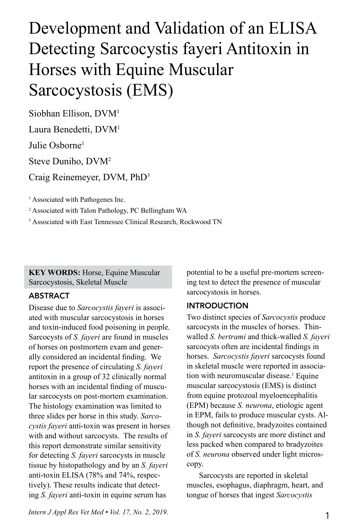# Development and Validation of an ELISA Detecting Sarcocystis fayeri Antitoxin in Horses with Equine Muscular Sarcocystosis (EMS)

Siobhan Ellison, DVM1 Laura Benedetti, DVM1

Julie Osborne<sup>1</sup>

Steve Duniho, DVM2

Craig Reinemeyer, DVM, PhD3

<sup>1</sup> Associated with Pathogenes Inc.

2 Associated with Talon Pathology, PC Bellingham WA

<sup>3</sup> Associated with East Tennessee Clinical Research, Rockwood TN

**KEY WORDS: Horse, Equine Muscular** Sarcocystosis, Skeletal Muscle

### ABSTRACT

Disease due to *Sarcocystis fayeri* is associated with muscular sarcocystosis in horses and toxin-induced food poisoning in people. Sarcocysts of *S. fayeri* are found in muscles of horses on postmortem exam and generally considered an incidental finding. We report the presence of circulating *S. fayeri* antitoxin in a group of 32 clinically normal horses with an incidental finding of muscular sarcocysts on post-mortem examination. The histology examination was limited to three slides per horse in this study. *Sarcocystis fayeri* anti-toxin was present in horses with and without sarcocysts. The results of this report demonstrate similar sensitivity for detecting *S. fayeri* sarcocysts in muscle tissue by histopathology and by an *S. fayeri* anti-toxin ELISA (78% and 74%, respectively). These results indicate that detecting *S. fayeri* anti-toxin in equine serum has

potential to be a useful pre-mortem screening test to detect the presence of muscular sarcocystosis in horses.

## INTRODUCTION

Two distinct species of *Sarcocystis* produce sarcocysts in the muscles of horses. Thinwalled *S. bertrami* and thick-walled *S. fayeri* sarcocysts often are incidental findings in horses. *Sarcocystis fayeri* sarcocysts found in skeletal muscle were reported in association with neuromuscular disease.<sup>1</sup> Equine muscular sarcocystosis (EMS) is distinct from equine protozoal myeloencephalitis (EPM) because *S. neurona*, etiologic agent in EPM, fails to produce muscular cysts. Although not definitive, bradyzoites contained in *S. fayeri* sarcocysts are more distinct and less packed when compared to bradyzoites of *S. neurona* observed under light microscopy.

Sarcocysts are reported in skeletal muscles, esophagus, diaphragm, heart, and tongue of horses that ingest *Sarcocystis*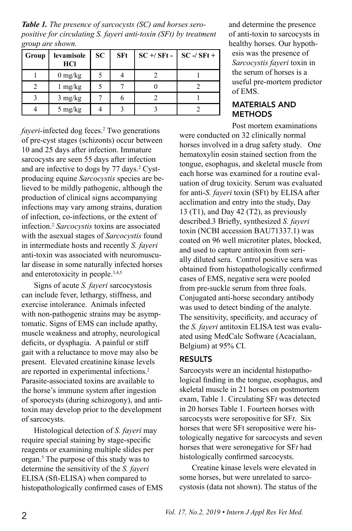*Table 1. The presence of sarcocysts (SC) and horses seropositive for circulating S. fayeri anti-toxin (SFt) by treatment group are shown.*

| Group | levamisole<br><b>HCl</b>        | SC. | <b>SFt</b> | $SC + / SFt -$ SC -/ SFt + |  |
|-------|---------------------------------|-----|------------|----------------------------|--|
|       | $0 \frac{\text{mg}}{\text{kg}}$ |     |            |                            |  |
|       | $1 \text{ mg/kg}$               |     |            |                            |  |
|       | $3 \text{ mg/kg}$               |     |            |                            |  |
|       | 5 mg/kg                         |     |            |                            |  |

fayeri-infected dog feces.<sup>2</sup> Two generations of pre-cyst stages (schizonts) occur between 10 and 25 days after infection. Immature sarcocysts are seen 55 days after infection and are infective to dogs by 77 days.<sup>2</sup> Cystproducing equine *Sarcocystis* species are believed to be mildly pathogenic, although the production of clinical signs accompanying infections may vary among strains, duration of infection, co-infections, or the extent of infection.2 *Sarcocystis* toxins are associated with the asexual stages of *Sarcocystis* found in intermediate hosts and recently *S. fayeri* anti-toxin was associated with neuromuscular disease in some naturally infected horses and enterotoxicity in people.3,4,5

Signs of acute *S. fayeri* sarcocystosis can include fever, lethargy, stiffness, and exercise intolerance. Animals infected with non-pathogenic strains may be asymptomatic. Signs of EMS can include apathy, muscle weakness and atrophy, neurological deficits, or dysphagia. A painful or stiff gait with a reluctance to move may also be present. Elevated creatinine kinase levels are reported in experimental infections.2 Parasite-associated toxins are available to the horse's immune system after ingestion of sporocysts (during schizogony), and antitoxin may develop prior to the development of sarcocysts.

Histological detection of *S. fayeri* may require special staining by stage-specific reagents or examining multiple slides per organ.5 The purpose of this study was to determine the sensitivity of the *S. fayeri* ELISA (Sft-ELISA) when compared to histopathologically confirmed cases of EMS and determine the presence of anti-toxin to sarcocysts in healthy horses. Our hypoth-

esis was the presence of *Sarcocystis fayeri* toxin in the serum of horses is a useful pre-mortem predictor of EMS.

#### MATERIALS AND **METHODS**

Post mortem examinations were conducted on 32 clinically normal horses involved in a drug safety study. One hematoxylin eosin stained section from the tongue, esophagus, and skeletal muscle from each horse was examined for a routine evaluation of drug toxicity. Serum was evaluated for anti-*S. fayeri* toxin (SFt) by ELISA after acclimation and entry into the study, Day 13 (T1), and Day 42 (T2), as previously described.3 Briefly, synthesized *S. fayeri* toxin (NCBI accession BAU71337.1) was coated on 96 well microtiter plates, blocked, and used to capture antitoxin from serially diluted sera. Control positive sera was obtained from histopathologically confirmed cases of EMS, negative sera were pooled from pre-suckle serum from three foals. Conjugated anti-horse secondary antibody was used to detect binding of the analyte. The sensitivity, specificity, and accuracy of the *S. fayeri* antitoxin ELISA test was evaluated using MedCalc Software (Acacialaan, Belgium) at 95% CI.

### RESULTS

Sarcocysts were an incidental histopathological finding in the tongue, esophagus, and skeletal muscle in 21 horses on postmortem exam, Table 1. Circulating SF*t* was detected in 20 horses Table 1. Fourteen horses with sarcocysts were seropositive for SF*t*. Six horses that were SFt seropositive were histologically negative for sarcocysts and seven horses that were seronegative for SF*t* had histologically confirmed sarcocysts.

Creatine kinase levels were elevated in some horses, but were unrelated to sarcocystosis (data not shown). The status of the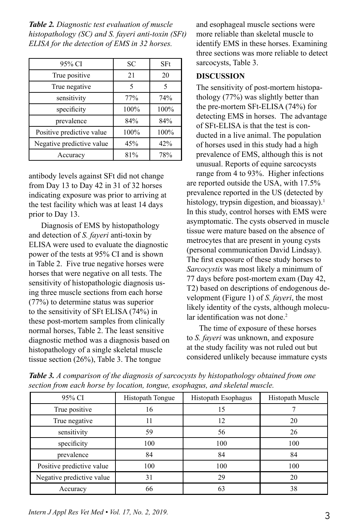*Table 2. Diagnostic test evaluation of muscle histopathology (SC) and S. fayeri anti-toxin (SFt) ELISA for the detection of EMS in 32 horses.* 

| 95% CI                    | SС   | SFt  |
|---------------------------|------|------|
| True positive             | 21   | 20   |
| True negative             | 5    | 5    |
| sensitivity               | 77%  | 74%  |
| specificity               | 100% | 100% |
| prevalence                | 84%  | 84%  |
| Positive predictive value | 100% | 100% |
| Negative predictive value | 45%  | 42%  |
| Accuracy                  | 81%  | 78%  |

antibody levels against SFt did not change from Day 13 to Day 42 in 31 of 32 horses indicating exposure was prior to arriving at the test facility which was at least 14 days prior to Day 13.

Diagnosis of EMS by histopathology and detection of *S. fayeri* anti-toxin by ELISA were used to evaluate the diagnostic power of the tests at 95% CI and is shown in Table 2. Five true negative horses were horses that were negative on all tests. The sensitivity of histopathologic diagnosis using three muscle sections from each horse (77%) to determine status was superior to the sensitivity of SFt ELISA (74%) in these post-mortem samples from clinically normal horses, Table 2. The least sensitive diagnostic method was a diagnosis based on histopathology of a single skeletal muscle tissue section (26%), Table 3. The tongue

and esophageal muscle sections were more reliable than skeletal muscle to identify EMS in these horses. Examining three sections was more reliable to detect sarcocysts, Table 3.

#### **DISCUSSION**

The sensitivity of post-mortem histopathology (77%) was slightly better than the pre-mortem SFt-ELISA (74%) for detecting EMS in horses. The advantage of SFt-ELISA is that the test is conducted in a live animal. The population of horses used in this study had a high prevalence of EMS, although this is not unusual. Reports of equine sarcocysts range from 4 to 93%. Higher infections are reported outside the USA, with 17.5% prevalence reported in the US (detected by histology, trypsin digestion, and bioassay).<sup>1</sup> In this study, control horses with EMS were asymptomatic. The cysts observed in muscle tissue were mature based on the absence of metrocytes that are present in young cysts (personal communication David Lindsay). The first exposure of these study horses to *Sarcocystis* was most likely a minimum of 77 days before post-mortem exam (Day 42, T2) based on descriptions of endogenous development (Figure 1) of *S. fayeri*, the most likely identity of the cysts, although molecular identification was not done.<sup>2</sup>

The time of exposure of these horses to *S. fayeri* was unknown, and exposure at the study facility was not ruled out but considered unlikely because immature cysts

| 95% CI                    | Histopath Tongue | Histopath Esophagus | Histopath Muscle |
|---------------------------|------------------|---------------------|------------------|
| True positive             | 16               | 15                  |                  |
| True negative             | 11               | 12                  | 20               |
| sensitivity               | 59               | 56                  | 26               |
| specificity               | 100              | 100                 | 100              |
| prevalence                | 84               | 84                  | 84               |
| Positive predictive value | 100              | 100                 | 100              |
| Negative predictive value | 31               | 29                  | 20               |
| Accuracy                  | 66               | 63                  | 38               |

*Table 3. A comparison of the diagnosis of sarcocysts by histopathology obtained from one section from each horse by location, tongue, esophagus, and skeletal muscle.*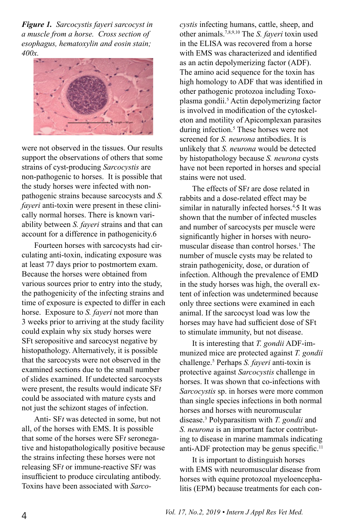*Figure 1. Sarcocystis fayeri sarcocyst in a muscle from a horse. Cross section of esophagus, hematoxylin and eosin stain; 400x.*



were not observed in the tissues. Our results support the observations of others that some strains of cyst-producing *Sarcocystis* are non-pathogenic to horses. It is possible that the study horses were infected with nonpathogenic strains because sarcocysts and *S. fayeri* anti-toxin were present in these clinically normal horses. There is known variability between *S. fayeri* strains and that can account for a difference in pathogenicity.6

Fourteen horses with sarcocysts had circulating anti-toxin, indicating exposure was at least 77 days prior to postmortem exam. Because the horses were obtained from various sources prior to entry into the study, the pathogenicity of the infecting strains and time of exposure is expected to differ in each horse. Exposure to *S. fayeri* not more than 3 weeks prior to arriving at the study facility could explain why six study horses were SFt seropositive and sarcocyst negative by histopathology. Alternatively, it is possible that the sarcocysts were not observed in the examined sections due to the small number of slides examined. If undetected sarcocysts were present, the results would indicate SF*t* could be associated with mature cysts and not just the schizont stages of infection.

Anti- SF*t* was detected in some, but not all, of the horses with EMS. It is possible that some of the horses were SF*t* seronegative and histopathologically positive because the strains infecting these horses were not releasing SF*t* or immune-reactive SF*t* was insufficient to produce circulating antibody. Toxins have been associated with *Sarco-*

*cystis* infecting humans, cattle, sheep, and other animals.7,8,9,10 The *S. fayeri* toxin used in the ELISA was recovered from a horse with EMS was characterized and identified as an actin depolymerizing factor (ADF). The amino acid sequence for the toxin has high homology to ADF that was identified in other pathogenic protozoa including Toxoplasma gondii.<sup>5</sup> Actin depolymerizing factor is involved in modification of the cytoskeleton and motility of Apicomplexan parasites during infection.<sup>5</sup> These horses were not screened for *S. neurona* antibodies. It is unlikely that *S. neurona* would be detected by histopathology because *S. neurona* cysts have not been reported in horses and special stains were not used.

The effects of SF*t* are dose related in rabbits and a dose-related effect may be similar in naturally infected horses.<sup>4,5</sup> It was shown that the number of infected muscles and number of sarcocysts per muscle were significantly higher in horses with neuromuscular disease than control horses.1 The number of muscle cysts may be related to strain pathogenicity, dose, or duration of infection. Although the prevalence of EMD in the study horses was high, the overall extent of infection was undetermined because only three sections were examined in each animal. If the sarcocyst load was low the horses may have had sufficient dose of SFt to stimulate immunity, but not disease.

It is interesting that *T. gondii* ADF-immunized mice are protected against *T. gondii* challenge.5 Perhaps *S. fayeri* anti-toxin is protective against *Sarcocystis* challenge in horses. It was shown that co-infections with *Sarcocystis* sp. in horses were more common than single species infections in both normal horses and horses with neuromuscular disease.3 Polyparasitism with *T. gondii* and *S. neurona* is an important factor contributing to disease in marine mammals indicating anti-ADF protection may be genus specific.<sup>11</sup>

It is important to distinguish horses with EMS with neuromuscular disease from horses with equine protozoal myeloencephalitis (EPM) because treatments for each con-